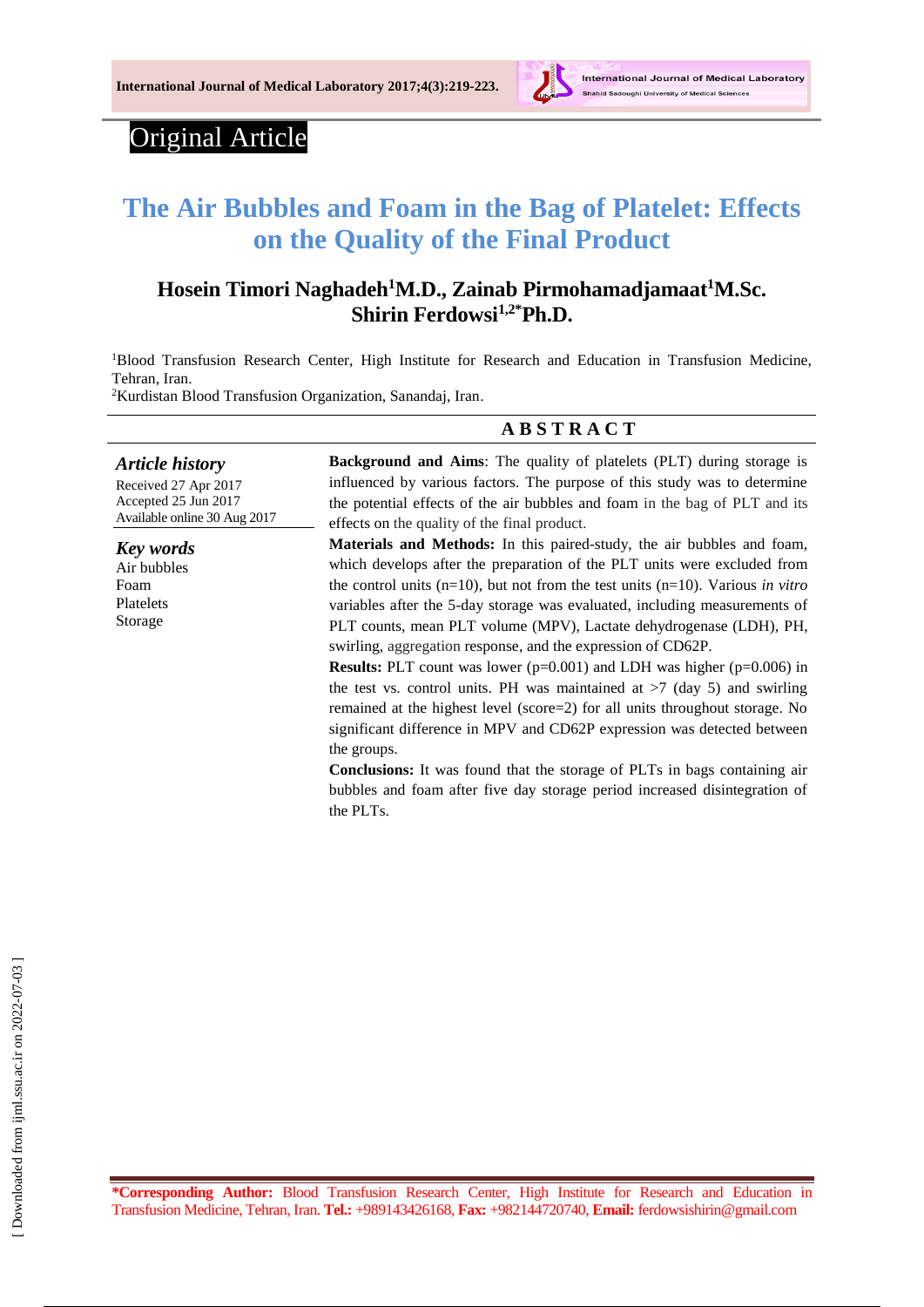

# Original Article

# **The Air Bubbles and Foam in the Bag of Platelet: Effects on the Quality of the Final Product**

# **Hosein Timori Naghadeh<sup>1</sup>M.D., Zainab Pirmohamadjamaat<sup>1</sup>M.Sc. Shirin Ferdowsi1,2\*Ph.D.**

<sup>1</sup>Blood Transfusion Research Center, High Institute for Research and Education in Transfusion Medicine, Tehran, Iran.

<sup>2</sup>Kurdistan Blood Transfusion Organization, Sanandaj, Iran.

#### **A B S T R A C T**

*Article history* Received 27 Apr 2017 Accepted 25 Jun 2017 Available online 30 Aug 2017 *Key words* Air bubbles Foam Platelets Storage **Background and Aims**: The quality of platelets (PLT) during storage is influenced by various factors. The purpose of this study was to determine the potential effects of the air bubbles and foam in the bag of PLT and its effects on the quality of the final product. **Materials and Methods:** In this paired-study, the air bubbles and foam, which develops after the preparation of the PLT units were excluded from the control units (n=10), but not from the test units (n=10). Various *in vitro* variables after the 5-day storage was evaluated, including measurements of PLT counts, mean PLT volume (MPV), Lactate dehydrogenase (LDH), PH, swirling, aggregation response, and the expression of CD62P. **Results:** PLT count was lower (p=0.001) and LDH was higher (p=0.006) in the test vs. control units. PH was maintained at  $>7$  (day 5) and swirling remained at the highest level (score=2) for all units throughout storage. No significant difference in MPV and CD62P expression was detected between the groups.

> **Conclusions:** It was found that the storage of PLTs in bags containing air bubbles and foam after five day storage period increased disintegration of the PLTs.

**\*Corresponding Author:** Blood Transfusion Research Center, High Institute for Research and Education in Transfusion Medicine, Tehran, Iran. **Tel.:** +989143426168, **Fax:** +982144720740, **Email:** [ferdowsishirin@gmail.com](mailto:ferdowsishirin@gmail.com)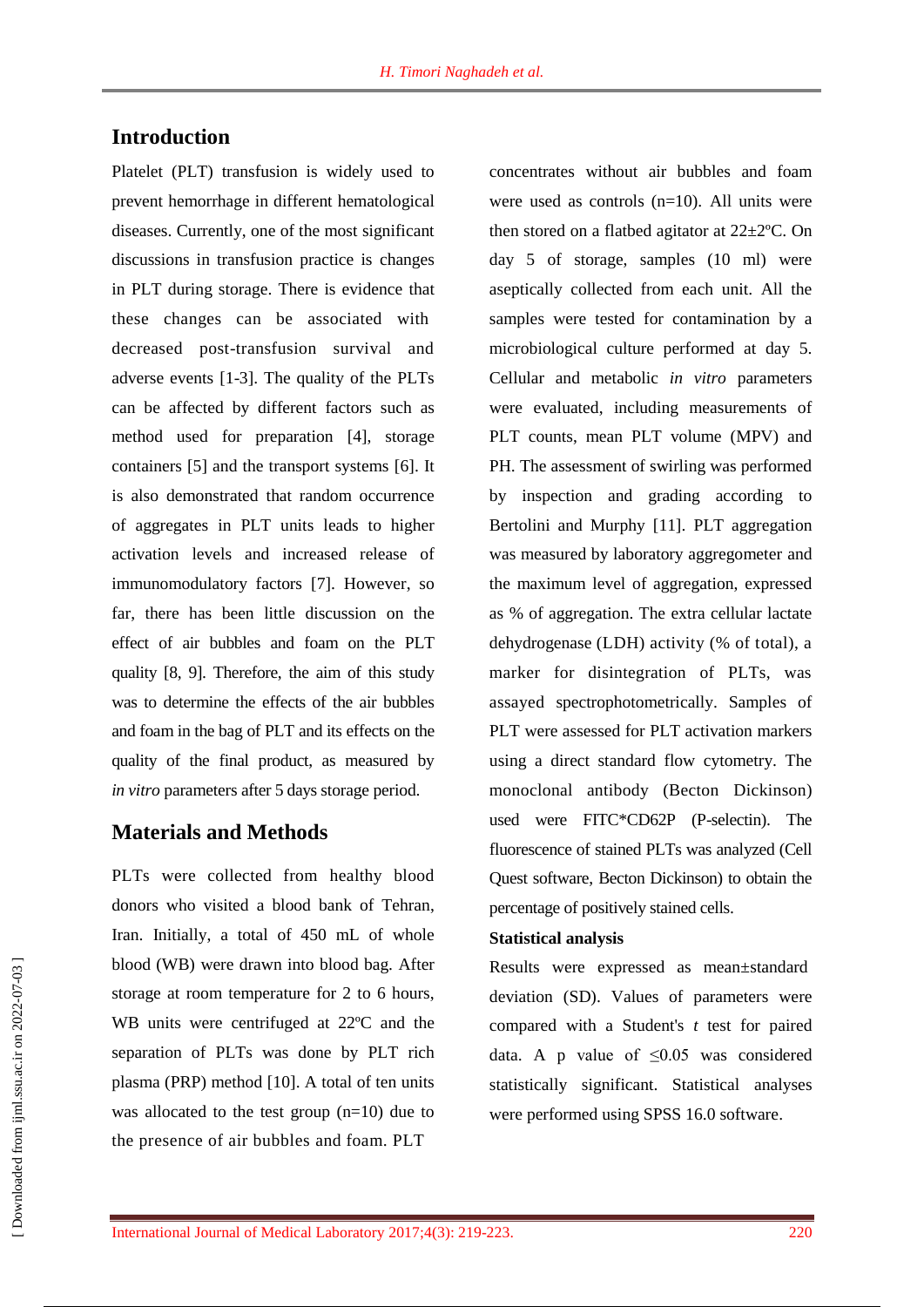# **Introduction**

Platelet (PLT) transfusion is widely used to prevent hemorrhage in different hematological diseases. Currently, one of the most significant discussions in transfusion practice is changes in PLT during storage. There is evidence that these changes can be associated with decreased post-transfusion survival and adverse events [1-3]. The quality of the PLTs can be affected by different factors such as method used for preparation [4], storage containers [5] and the transport systems [6]. It is also demonstrated that random occurrence of aggregates in PLT units leads to higher activation levels and increased release of immunomodulatory factors [7]. However, so far, there has been little discussion on the effect of air bubbles and foam on the PLT quality [8, 9]. Therefore, the aim of this study was to determine the effects of the air bubbles and foam in the bag of PLT and its effects on the quality of the final product, as measured by *in vitro* parameters after 5 days storage period.

## **Materials and Methods**

PLTs were collected from healthy blood donors who visited a blood bank of Tehran, Iran. Initially, a total of 450 mL of whole blood (WB) were drawn into blood bag. After storage at room temperature for 2 to 6 hours, WB units were centrifuged at 22ºC and the separation of PLTs was done by PLT rich plasma (PRP) method [10]. A total of ten units was allocated to the test group (n=10) due to the presence of air bubbles and foam. PLT

concentrates without air bubbles and foam were used as controls (n=10). All units were then stored on a flatbed agitator at 22±2ºC. On day 5 of storage, samples (10 ml) were aseptically collected from each unit. All the samples were tested for contamination by a microbiological culture performed at day 5. Cellular and metabolic *in vitro* parameters were evaluated, including measurements of PLT counts, mean PLT volume (MPV) and PH. The assessment of swirling was performed by inspection and grading according to Bertolini and Murphy [11]. PLT aggregation was measured by laboratory aggregometer and the maximum level of aggregation, expressed as % of aggregation. The extra cellular lactate dehydrogenase (LDH) activity (% of total), a marker for disintegration of PLTs, was assayed spectrophotometrically. Samples of PLT were assessed for PLT activation markers using a direct standard flow cytometry. The monoclonal antibody (Becton Dickinson) used were FITC\*CD62P (P-selectin). The fluorescence of stained PLTs was analyzed (Cell Quest software, Becton Dickinson) to obtain the percentage of positively stained cells.

#### **Statistical analysis**

Results were expressed as mean±standard deviation (SD). Values of parameters were compared with a Student's *t* test for paired data. A p value of  $\leq 0.05$  was considered statistically significant. Statistical analyses were performed using SPSS 16.0 software.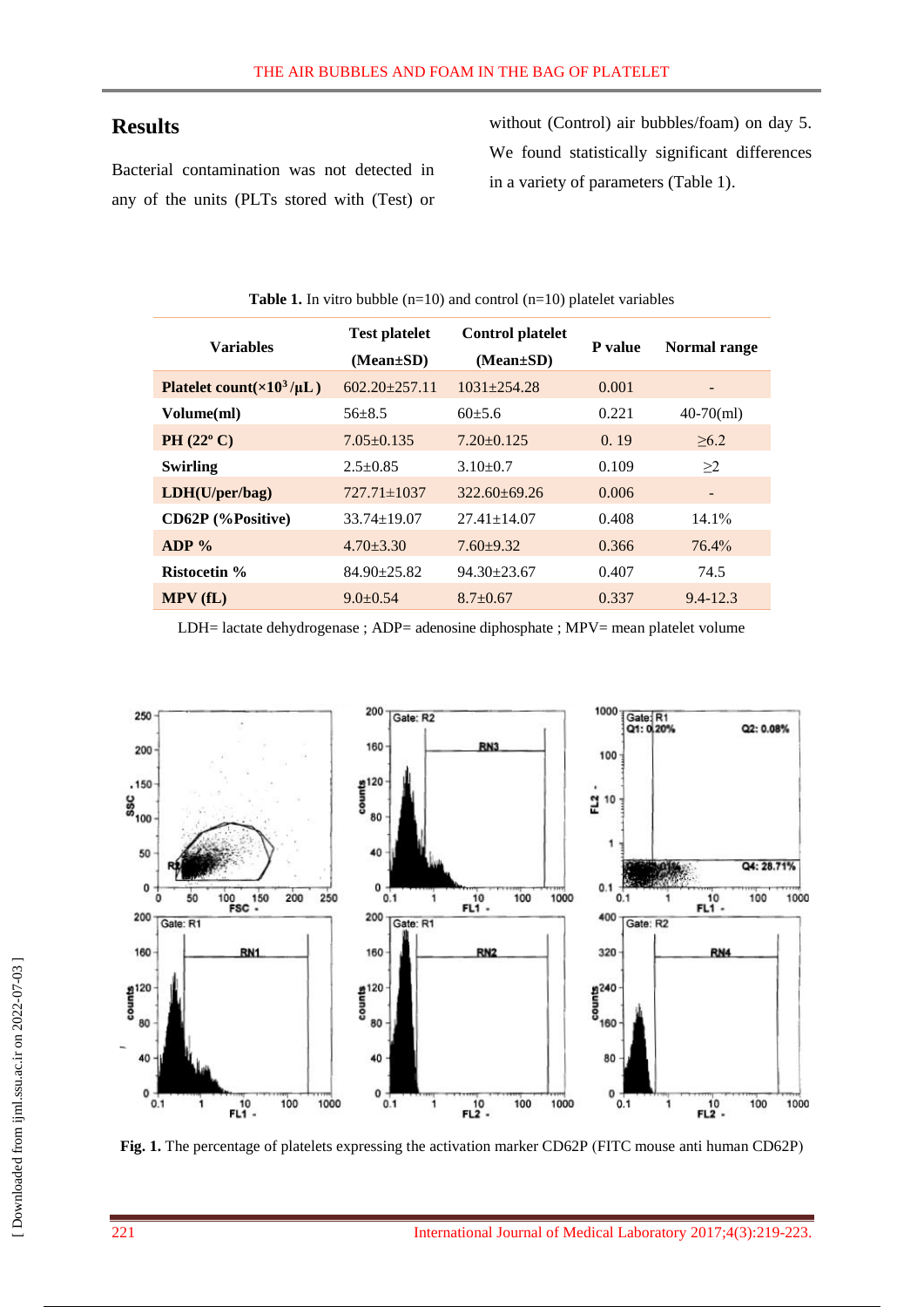# **Results**

Bacterial contamination was not detected in any of the units (PLTs stored with (Test) or without (Control) air bubbles/foam) on day 5. We found statistically significant differences in a variety of parameters (Table 1).

| <b>Variables</b>                      | <b>Test platelet</b><br>$(Mean \pm SD)$ | <b>Control platelet</b><br>$(Mean \pm SD)$ | P value | Normal range   |
|---------------------------------------|-----------------------------------------|--------------------------------------------|---------|----------------|
| Platelet count( $\times 10^3/\mu L$ ) | $602.20 \pm 257.11$                     | $1031 \pm 254.28$                          | 0.001   |                |
| Volume(ml)                            | $56\pm8.5$                              | $60+5.6$                                   | 0.221   | $40-70$ (ml)   |
| PH $(22^{\circ} C)$                   | $7.05 \pm 0.135$                        | $7.20 \pm 0.125$                           | 0.19    | $\geq 6.2$     |
| <b>Swirling</b>                       | $2.5 \pm 0.85$                          | $3.10\pm0.7$                               | 0.109   | $\geq$ 2       |
| LDH(U/per/bag)                        | $727.71 \pm 1037$                       | $322.60 + 69.26$                           | 0.006   | $\blacksquare$ |
| CD62P (%Positive)                     | $33.74 \pm 19.07$                       | $27.41 \pm 14.07$                          | 0.408   | $14.1\%$       |
| $ADP\%$                               | $4.70 \pm 3.30$                         | $7.60 \pm 9.32$                            | 0.366   | 76.4%          |
| <b>Ristocetin %</b>                   | $84.90 \pm 25.82$                       | $94.30 \pm 23.67$                          | 0.407   | 74.5           |
| MPV(fL)                               | $9.0 \pm 0.54$                          | $8.7 \pm 0.67$                             | 0.337   | $9.4 - 12.3$   |

**Table 1.** In vitro bubble  $(n=10)$  and control  $(n=10)$  platelet variables

LDH= lactate dehydrogenase ; ADP= adenosine diphosphate ; MPV= mean platelet volume



Fig. 1. The percentage of platelets expressing the activation marker CD62P (FITC mouse anti human CD62P)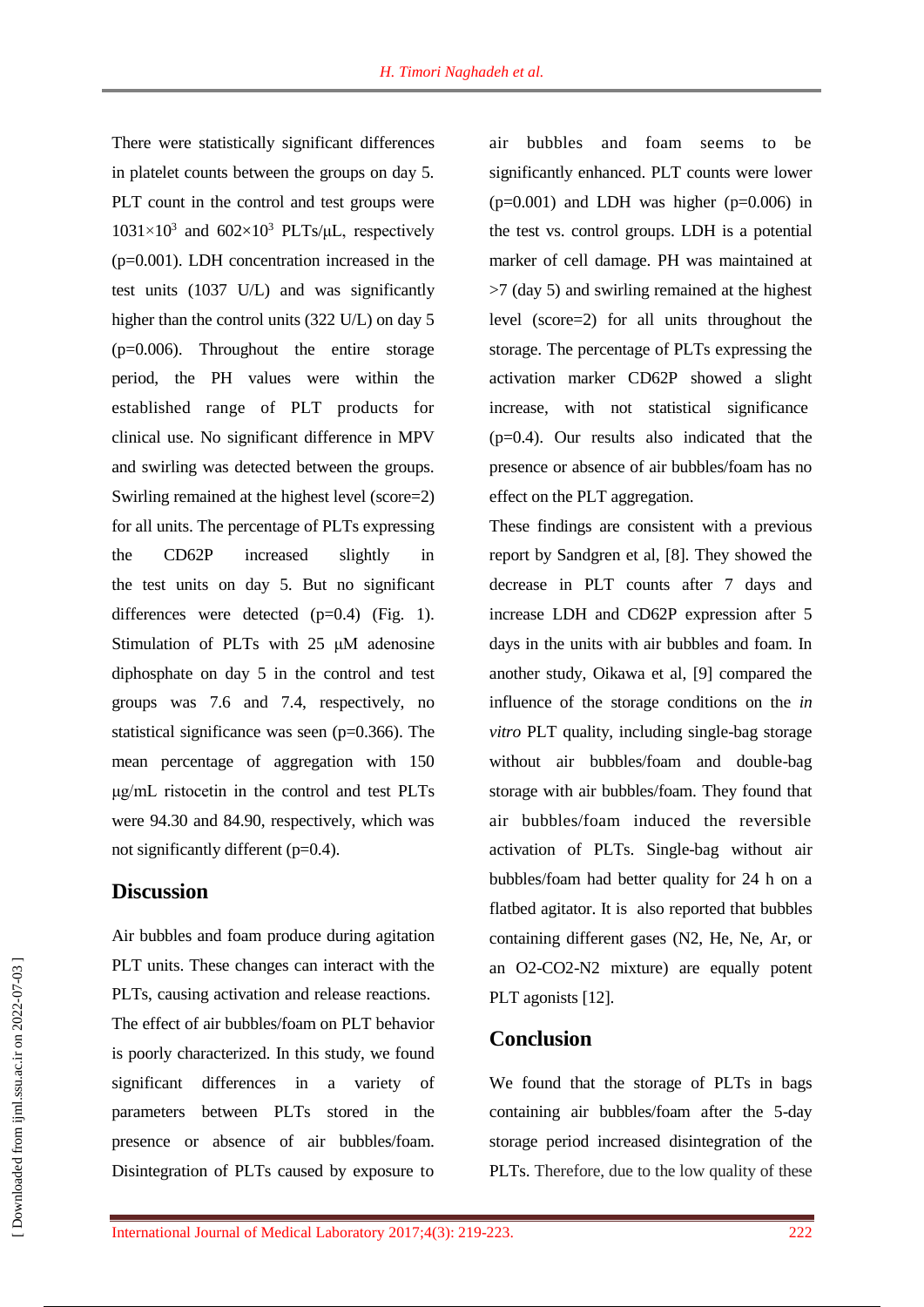There were statistically significant differences in platelet counts between the groups on day 5. PLT count in the control and test groups were  $1031 \times 10^3$  and  $602 \times 10^3$  PLTs/ $\mu$ L, respectively (p=0.001). LDH concentration increased in the test units (1037 U/L) and was significantly higher than the control units (322 U/L) on day 5  $(p=0.006)$ . Throughout the entire storage period, the PH values were within the established range of PLT products for clinical use. No significant difference in MPV and swirling was detected between the groups. Swirling remained at the highest level (score=2) for all units. The percentage of PLTs expressing the CD62P increased slightly in the test units on day 5. But no significant differences were detected (p=0.4) (Fig. 1). Stimulation of PLTs with 25 μM adenosine diphosphate on day 5 in the control and test groups was 7.6 and 7.4, respectively, no statistical significance was seen (p=0.366). The mean percentage of aggregation with 150 μg/mL ristocetin in the control and test PLTs were 94.30 and 84.90, respectively, which was not significantly different (p=0.4).

## **Discussion**

Air bubbles and foam produce during agitation PLT units. These changes can interact with the PLTs, causing activation and release reactions. The effect of air bubbles/foam on PLT behavior is poorly characterized. In this study, we found significant differences in a variety of parameters between PLTs stored in the presence or absence of air bubbles/foam. Disintegration of PLTs caused by exposure to air bubbles and foam seems to be significantly enhanced. PLT counts were lower  $(p=0.001)$  and LDH was higher  $(p=0.006)$  in the test vs. control groups. LDH is a potential marker of cell damage. PH was maintained at >7 (day 5) and swirling remained at the highest level (score=2) for all units throughout the storage. The percentage of PLTs expressing the activation marker CD62P showed a slight increase, with not statistical significance (p=0.4). Our results also indicated that the presence or absence of air bubbles/foam has no effect on the PLT aggregation.

These findings are consistent with a previous report by Sandgren et al, [8]. They showed the decrease in PLT counts after 7 days and increase LDH and CD62P expression after 5 days in the units with air bubbles and foam. In another study, Oikawa et al, [9] compared the influence of the storage conditions on the *in vitro* PLT quality, including single-bag storage without air bubbles/foam and double-bag storage with air bubbles/foam. They found that air bubbles/foam induced the reversible activation of PLTs. Single-bag without air bubbles/foam had better quality for 24 h on a flatbed agitator. It is also reported that bubbles containing different gases (N2, He, Ne, Ar, or an O2-CO2-N2 mixture) are equally potent PLT agonists [12].

#### **Conclusion**

We found that the storage of PLTs in bags containing air bubbles/foam after the 5-day storage period increased disintegration of the PLTs. Therefore, due to the low quality of these